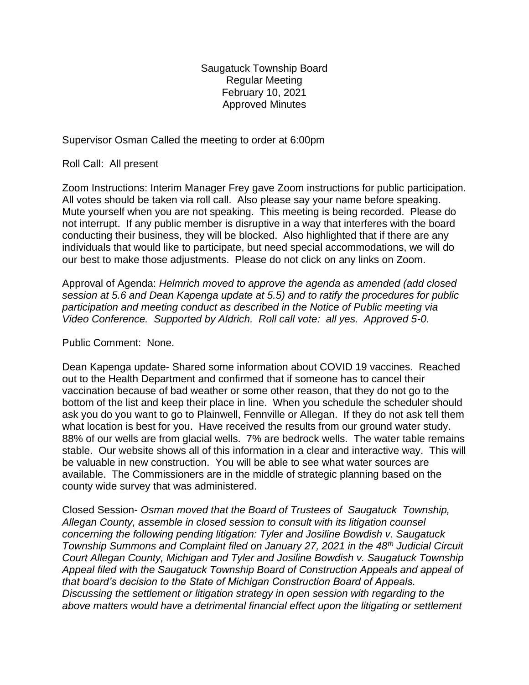Saugatuck Township Board Regular Meeting February 10, 2021 Approved Minutes

Supervisor Osman Called the meeting to order at 6:00pm

Roll Call: All present

Zoom Instructions: Interim Manager Frey gave Zoom instructions for public participation. All votes should be taken via roll call. Also please say your name before speaking. Mute yourself when you are not speaking. This meeting is being recorded. Please do not interrupt. If any public member is disruptive in a way that interferes with the board conducting their business, they will be blocked. Also highlighted that if there are any individuals that would like to participate, but need special accommodations, we will do our best to make those adjustments. Please do not click on any links on Zoom.

Approval of Agenda: *Helmrich moved to approve the agenda as amended (add closed session at 5.6 and Dean Kapenga update at 5.5) and to ratify the procedures for public participation and meeting conduct as described in the Notice of Public meeting via Video Conference. Supported by Aldrich. Roll call vote: all yes. Approved 5-0.*

## Public Comment: None.

Dean Kapenga update- Shared some information about COVID 19 vaccines. Reached out to the Health Department and confirmed that if someone has to cancel their vaccination because of bad weather or some other reason, that they do not go to the bottom of the list and keep their place in line. When you schedule the scheduler should ask you do you want to go to Plainwell, Fennville or Allegan. If they do not ask tell them what location is best for you. Have received the results from our ground water study. 88% of our wells are from glacial wells. 7% are bedrock wells. The water table remains stable. Our website shows all of this information in a clear and interactive way. This will be valuable in new construction. You will be able to see what water sources are available. The Commissioners are in the middle of strategic planning based on the county wide survey that was administered.

Closed Session- *Osman moved that the Board of Trustees of Saugatuck Township, Allegan County, assemble in closed session to consult with its litigation counsel concerning the following pending litigation: Tyler and Josiline Bowdish v. Saugatuck Township Summons and Complaint filed on January 27, 2021 in the 48th Judicial Circuit Court Allegan County, Michigan and Tyler and Josiline Bowdish v. Saugatuck Township Appeal filed with the Saugatuck Township Board of Construction Appeals and appeal of that board's decision to the State of Michigan Construction Board of Appeals. Discussing the settlement or litigation strategy in open session with regarding to the above matters would have a detrimental financial effect upon the litigating or settlement*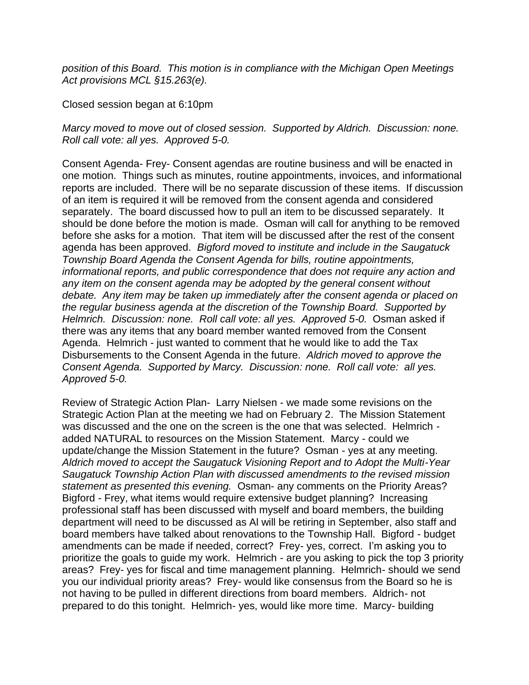*position of this Board. This motion is in compliance with the Michigan Open Meetings Act provisions MCL §15.263(e).*

Closed session began at 6:10pm

*Marcy moved to move out of closed session. Supported by Aldrich. Discussion: none. Roll call vote: all yes. Approved 5-0.*

Consent Agenda- Frey- Consent agendas are routine business and will be enacted in one motion. Things such as minutes, routine appointments, invoices, and informational reports are included. There will be no separate discussion of these items. If discussion of an item is required it will be removed from the consent agenda and considered separately. The board discussed how to pull an item to be discussed separately. It should be done before the motion is made. Osman will call for anything to be removed before she asks for a motion. That item will be discussed after the rest of the consent agenda has been approved. *Bigford moved to institute and include in the Saugatuck Township Board Agenda the Consent Agenda for bills, routine appointments, informational reports, and public correspondence that does not require any action and any item on the consent agenda may be adopted by the general consent without debate. Any item may be taken up immediately after the consent agenda or placed on the regular business agenda at the discretion of the Township Board. Supported by Helmrich. Discussion: none. Roll call vote: all yes. Approved 5-0.* Osman asked if there was any items that any board member wanted removed from the Consent Agenda. Helmrich - just wanted to comment that he would like to add the Tax Disbursements to the Consent Agenda in the future. *Aldrich moved to approve the Consent Agenda. Supported by Marcy. Discussion: none. Roll call vote: all yes. Approved 5-0.*

Review of Strategic Action Plan- Larry Nielsen - we made some revisions on the Strategic Action Plan at the meeting we had on February 2. The Mission Statement was discussed and the one on the screen is the one that was selected. Helmrich added NATURAL to resources on the Mission Statement. Marcy - could we update/change the Mission Statement in the future? Osman - yes at any meeting. *Aldrich moved to accept the Saugatuck Visioning Report and to Adopt the Multi-Year Saugatuck Township Action Plan with discussed amendments to the revised mission statement as presented this evening.* Osman- any comments on the Priority Areas? Bigford - Frey, what items would require extensive budget planning? Increasing professional staff has been discussed with myself and board members, the building department will need to be discussed as Al will be retiring in September, also staff and board members have talked about renovations to the Township Hall. Bigford - budget amendments can be made if needed, correct? Frey- yes, correct. I'm asking you to prioritize the goals to guide my work. Helmrich - are you asking to pick the top 3 priority areas? Frey- yes for fiscal and time management planning. Helmrich- should we send you our individual priority areas? Frey- would like consensus from the Board so he is not having to be pulled in different directions from board members. Aldrich- not prepared to do this tonight. Helmrich- yes, would like more time. Marcy- building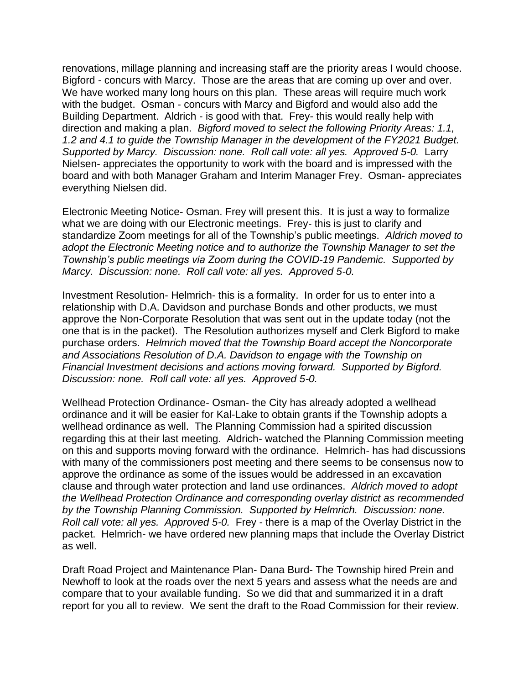renovations, millage planning and increasing staff are the priority areas I would choose. Bigford - concurs with Marcy. Those are the areas that are coming up over and over. We have worked many long hours on this plan. These areas will require much work with the budget. Osman - concurs with Marcy and Bigford and would also add the Building Department. Aldrich - is good with that. Frey- this would really help with direction and making a plan. *Bigford moved to select the following Priority Areas: 1.1, 1.2 and 4.1 to guide the Township Manager in the development of the FY2021 Budget. Supported by Marcy. Discussion: none. Roll call vote: all yes. Approved 5-0. Larry* Nielsen- appreciates the opportunity to work with the board and is impressed with the board and with both Manager Graham and Interim Manager Frey. Osman- appreciates everything Nielsen did.

Electronic Meeting Notice- Osman. Frey will present this. It is just a way to formalize what we are doing with our Electronic meetings. Frey- this is just to clarify and standardize Zoom meetings for all of the Township's public meetings. *Aldrich moved to adopt the Electronic Meeting notice and to authorize the Township Manager to set the Township's public meetings via Zoom during the COVID-19 Pandemic. Supported by Marcy. Discussion: none. Roll call vote: all yes. Approved 5-0.* 

Investment Resolution- Helmrich- this is a formality. In order for us to enter into a relationship with D.A. Davidson and purchase Bonds and other products, we must approve the Non-Corporate Resolution that was sent out in the update today (not the one that is in the packet). The Resolution authorizes myself and Clerk Bigford to make purchase orders. *Helmrich moved that the Township Board accept the Noncorporate and Associations Resolution of D.A. Davidson to engage with the Township on Financial Investment decisions and actions moving forward. Supported by Bigford. Discussion: none. Roll call vote: all yes. Approved 5-0.*

Wellhead Protection Ordinance- Osman- the City has already adopted a wellhead ordinance and it will be easier for Kal-Lake to obtain grants if the Township adopts a wellhead ordinance as well. The Planning Commission had a spirited discussion regarding this at their last meeting. Aldrich- watched the Planning Commission meeting on this and supports moving forward with the ordinance. Helmrich- has had discussions with many of the commissioners post meeting and there seems to be consensus now to approve the ordinance as some of the issues would be addressed in an excavation clause and through water protection and land use ordinances. *Aldrich moved to adopt the Wellhead Protection Ordinance and corresponding overlay district as recommended by the Township Planning Commission. Supported by Helmrich. Discussion: none. Roll call vote: all yes. Approved 5-0.* Frey - there is a map of the Overlay District in the packet. Helmrich- we have ordered new planning maps that include the Overlay District as well.

Draft Road Project and Maintenance Plan- Dana Burd- The Township hired Prein and Newhoff to look at the roads over the next 5 years and assess what the needs are and compare that to your available funding. So we did that and summarized it in a draft report for you all to review. We sent the draft to the Road Commission for their review.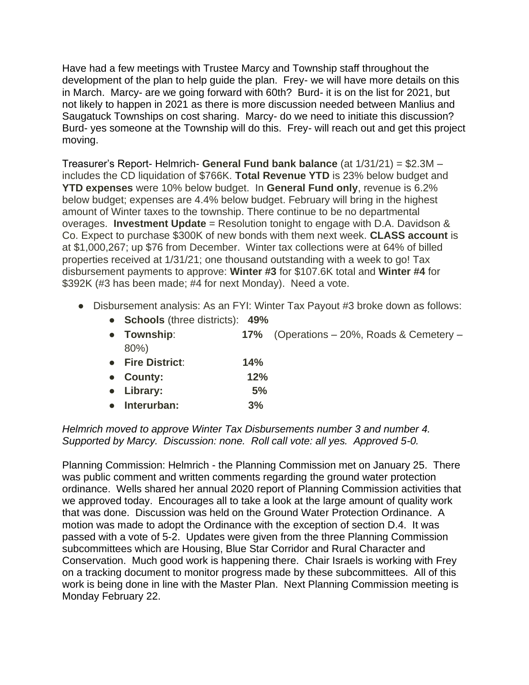Have had a few meetings with Trustee Marcy and Township staff throughout the development of the plan to help guide the plan. Frey- we will have more details on this in March. Marcy- are we going forward with 60th? Burd- it is on the list for 2021, but not likely to happen in 2021 as there is more discussion needed between Manlius and Saugatuck Townships on cost sharing. Marcy- do we need to initiate this discussion? Burd- yes someone at the Township will do this. Frey- will reach out and get this project moving.

Treasurer's Report- Helmrich- **General Fund bank balance** (at 1/31/21) = \$2.3M – includes the CD liquidation of \$766K. **Total Revenue YTD** is 23% below budget and **YTD expenses** were 10% below budget. In **General Fund only**, revenue is 6.2% below budget; expenses are 4.4% below budget. February will bring in the highest amount of Winter taxes to the township. There continue to be no departmental overages. **Investment Update** = Resolution tonight to engage with D.A. Davidson & Co. Expect to purchase \$300K of new bonds with them next week. **CLASS account** is at \$1,000,267; up \$76 from December. Winter tax collections were at 64% of billed properties received at 1/31/21; one thousand outstanding with a week to go! Tax disbursement payments to approve: **Winter #3** for \$107.6K total and **Winter #4** for \$392K (#3 has been made; #4 for next Monday). Need a vote.

- Disbursement analysis: As an FYI: Winter Tax Payout #3 broke down as follows:
	- **Schools** (three districts): **49%**
	- **Township**: **17%** (Operations 20%, Roads & Cemetery 80%)
	- **Fire District**: **14%**
	- **County: 12%**
	- **Library: 5%**
	- **Interurban: 3%**

*Helmrich moved to approve Winter Tax Disbursements number 3 and number 4. Supported by Marcy. Discussion: none. Roll call vote: all yes. Approved 5-0.* 

Planning Commission: Helmrich - the Planning Commission met on January 25. There was public comment and written comments regarding the ground water protection ordinance. Wells shared her annual 2020 report of Planning Commission activities that we approved today. Encourages all to take a look at the large amount of quality work that was done. Discussion was held on the Ground Water Protection Ordinance. A motion was made to adopt the Ordinance with the exception of section D.4. It was passed with a vote of 5-2. Updates were given from the three Planning Commission subcommittees which are Housing, Blue Star Corridor and Rural Character and Conservation. Much good work is happening there. Chair Israels is working with Frey on a tracking document to monitor progress made by these subcommittees. All of this work is being done in line with the Master Plan. Next Planning Commission meeting is Monday February 22.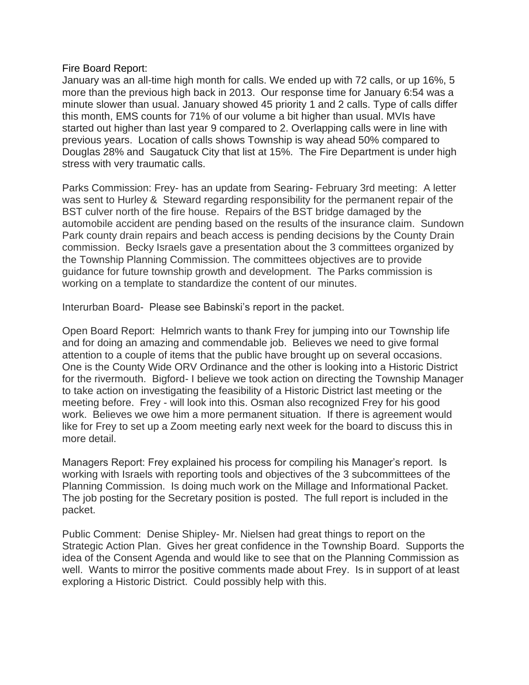## Fire Board Report:

January was an all-time high month for calls. We ended up with 72 calls, or up 16%, 5 more than the previous high back in 2013. Our response time for January 6:54 was a minute slower than usual. January showed 45 priority 1 and 2 calls. Type of calls differ this month, EMS counts for 71% of our volume a bit higher than usual. MVIs have started out higher than last year 9 compared to 2. Overlapping calls were in line with previous years. Location of calls shows Township is way ahead 50% compared to Douglas 28% and Saugatuck City that list at 15%. The Fire Department is under high stress with very traumatic calls.

Parks Commission: Frey- has an update from Searing- February 3rd meeting: A letter was sent to Hurley & Steward regarding responsibility for the permanent repair of the BST culver north of the fire house. Repairs of the BST bridge damaged by the automobile accident are pending based on the results of the insurance claim. Sundown Park county drain repairs and beach access is pending decisions by the County Drain commission. Becky Israels gave a presentation about the 3 committees organized by the Township Planning Commission. The committees objectives are to provide guidance for future township growth and development. The Parks commission is working on a template to standardize the content of our minutes.

Interurban Board- Please see Babinski's report in the packet.

Open Board Report: Helmrich wants to thank Frey for jumping into our Township life and for doing an amazing and commendable job. Believes we need to give formal attention to a couple of items that the public have brought up on several occasions. One is the County Wide ORV Ordinance and the other is looking into a Historic District for the rivermouth. Bigford- I believe we took action on directing the Township Manager to take action on investigating the feasibility of a Historic District last meeting or the meeting before. Frey - will look into this. Osman also recognized Frey for his good work. Believes we owe him a more permanent situation. If there is agreement would like for Frey to set up a Zoom meeting early next week for the board to discuss this in more detail.

Managers Report: Frey explained his process for compiling his Manager's report. Is working with Israels with reporting tools and objectives of the 3 subcommittees of the Planning Commission. Is doing much work on the Millage and Informational Packet. The job posting for the Secretary position is posted. The full report is included in the packet.

Public Comment: Denise Shipley- Mr. Nielsen had great things to report on the Strategic Action Plan. Gives her great confidence in the Township Board. Supports the idea of the Consent Agenda and would like to see that on the Planning Commission as well. Wants to mirror the positive comments made about Frey. Is in support of at least exploring a Historic District. Could possibly help with this.